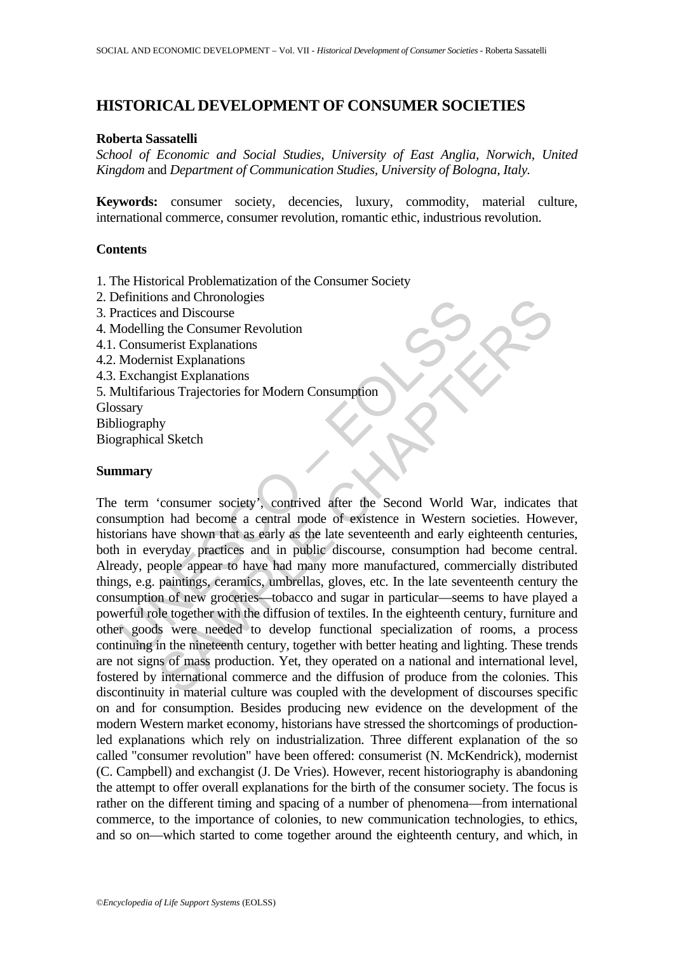# **HISTORICAL DEVELOPMENT OF CONSUMER SOCIETIES**

#### **Roberta Sassatelli**

*School of Economic and Social Studies, University of East Anglia, Norwich, United Kingdom* and *Department of Communication Studies, University of Bologna, Italy.* 

**Keywords:** consumer society, decencies, luxury, commodity, material culture, international commerce, consumer revolution, romantic ethic, industrious revolution.

### **Contents**

1. The Historical Problematization of the Consumer Society

- 2. Definitions and Chronologies
- 3. Practices and Discourse
- 4. Modelling the Consumer Revolution
- 4.1. Consumerist Explanations
- 4.2. Modernist Explanations
- 4.3. Exchangist Explanations
- 5. Multifarious Trajectories for Modern Consumption
- **Glossary**

Bibliography

Biographical Sketch

### **Summary**

Framinous and Discourse<br>
ractices and Discourse<br>
Indelling the Consumer Revolution<br>
Consumerist Explanations<br>
Modernist Explanations<br>
Exchangist Explanations<br>
Exchangist Explanations<br>
Exchangist Explanations<br>
Exchangist Ex Instant Chronologies<br>
and Discourse<br>
and Discourse<br>
g the Consumer Revolution<br>
merist Explanations<br>
significations<br>
gigit Explanations<br>
significations<br>
significations<br>
significations<br>
and Sketch<br>
Supplementary and a centra The term 'consumer society', contrived after the Second World War, indicates that consumption had become a central mode of existence in Western societies. However, historians have shown that as early as the late seventeenth and early eighteenth centuries, both in everyday practices and in public discourse, consumption had become central. Already, people appear to have had many more manufactured, commercially distributed things, e.g. paintings, ceramics, umbrellas, gloves, etc. In the late seventeenth century the consumption of new groceries—tobacco and sugar in particular—seems to have played a powerful role together with the diffusion of textiles. In the eighteenth century, furniture and other goods were needed to develop functional specialization of rooms, a process continuing in the nineteenth century, together with better heating and lighting. These trends are not signs of mass production. Yet, they operated on a national and international level, fostered by international commerce and the diffusion of produce from the colonies. This discontinuity in material culture was coupled with the development of discourses specific on and for consumption. Besides producing new evidence on the development of the modern Western market economy, historians have stressed the shortcomings of productionled explanations which rely on industrialization. Three different explanation of the so called "consumer revolution" have been offered: consumerist (N. McKendrick), modernist (C. Campbell) and exchangist (J. De Vries). However, recent historiography is abandoning the attempt to offer overall explanations for the birth of the consumer society. The focus is rather on the different timing and spacing of a number of phenomena—from international commerce, to the importance of colonies, to new communication technologies, to ethics, and so on—which started to come together around the eighteenth century, and which, in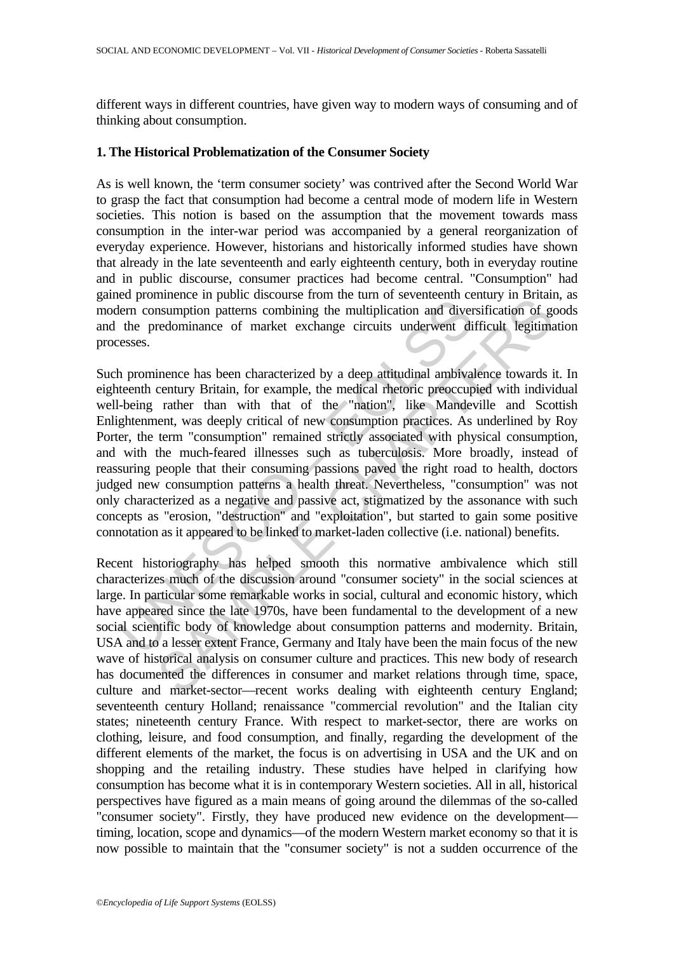different ways in different countries, have given way to modern ways of consuming and of thinking about consumption.

# **1. The Historical Problematization of the Consumer Society**

As is well known, the 'term consumer society' was contrived after the Second World War to grasp the fact that consumption had become a central mode of modern life in Western societies. This notion is based on the assumption that the movement towards mass consumption in the inter-war period was accompanied by a general reorganization of everyday experience. However, historians and historically informed studies have shown that already in the late seventeenth and early eighteenth century, both in everyday routine and in public discourse, consumer practices had become central. "Consumption" had gained prominence in public discourse from the turn of seventeenth century in Britain, as modern consumption patterns combining the multiplication and diversification of goods and the predominance of market exchange circuits underwent difficult legitimation processes.

Example the paralistic and paralistic metallication and diver<br>them consumption patterns combining the multiplication and diver<br>the predominance of market exchange circuits underwent diverses.<br>
A prominence has been charact infinience in point us dosous to lour in the time time of the contention century in Darian<br>insumption patterns combining the multiplication and diversification of greedominance of market exchange circuits underwent difficu Such prominence has been characterized by a deep attitudinal ambivalence towards it. In eighteenth century Britain, for example, the medical rhetoric preoccupied with individual well-being rather than with that of the "nation", like Mandeville and Scottish Enlightenment, was deeply critical of new consumption practices. As underlined by Roy Porter, the term "consumption" remained strictly associated with physical consumption, and with the much-feared illnesses such as tuberculosis. More broadly, instead of reassuring people that their consuming passions paved the right road to health, doctors judged new consumption patterns a health threat. Nevertheless, "consumption" was not only characterized as a negative and passive act, stigmatized by the assonance with such concepts as "erosion, "destruction" and "exploitation", but started to gain some positive connotation as it appeared to be linked to market-laden collective (i.e. national) benefits.

Recent historiography has helped smooth this normative ambivalence which still characterizes much of the discussion around "consumer society" in the social sciences at large. In particular some remarkable works in social, cultural and economic history, which have appeared since the late 1970s, have been fundamental to the development of a new social scientific body of knowledge about consumption patterns and modernity. Britain, USA and to a lesser extent France, Germany and Italy have been the main focus of the new wave of historical analysis on consumer culture and practices. This new body of research has documented the differences in consumer and market relations through time, space, culture and market-sector—recent works dealing with eighteenth century England; seventeenth century Holland; renaissance "commercial revolution" and the Italian city states; nineteenth century France. With respect to market-sector, there are works on clothing, leisure, and food consumption, and finally, regarding the development of the different elements of the market, the focus is on advertising in USA and the UK and on shopping and the retailing industry. These studies have helped in clarifying how consumption has become what it is in contemporary Western societies. All in all, historical perspectives have figured as a main means of going around the dilemmas of the so-called "consumer society". Firstly, they have produced new evidence on the development timing, location, scope and dynamics—of the modern Western market economy so that it is now possible to maintain that the "consumer society" is not a sudden occurrence of the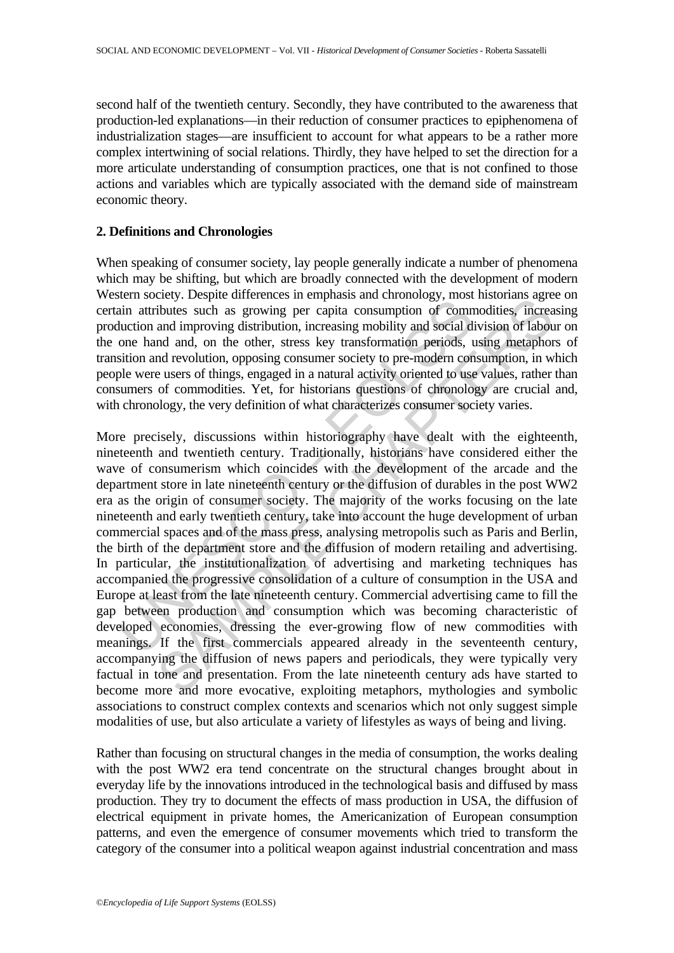second half of the twentieth century. Secondly, they have contributed to the awareness that production-led explanations—in their reduction of consumer practices to epiphenomena of industrialization stages—are insufficient to account for what appears to be a rather more complex intertwining of social relations. Thirdly, they have helped to set the direction for a more articulate understanding of consumption practices, one that is not confined to those actions and variables which are typically associated with the demand side of mainstream economic theory.

# **2. Definitions and Chronologies**

When speaking of consumer society, lay people generally indicate a number of phenomena which may be shifting, but which are broadly connected with the development of modern Western society. Despite differences in emphasis and chronology, most historians agree on certain attributes such as growing per capita consumption of commodities, increasing production and improving distribution, increasing mobility and social division of labour on the one hand and, on the other, stress key transformation periods, using metaphors of transition and revolution, opposing consumer society to pre-modern consumption, in which people were users of things, engaged in a natural activity oriented to use values, rather than consumers of commodities. Yet, for historians questions of chronology are crucial and, with chronology, the very definition of what characterizes consumer society varies.

et society. Despite unications are approached and environgly, most<br>ain attributes such as growing per capita consumption of communion and improving distribution, increasing mobility and social di<br>one hand and, on the other Every. Despie uniterates an einplans and cuntinotygy, most instortant age during the direct of an einplance such as growing pr capita consumption of commodities, increased and improving distribution, increasing mobility an More precisely, discussions within historiography have dealt with the eighteenth, nineteenth and twentieth century. Traditionally, historians have considered either the wave of consumerism which coincides with the development of the arcade and the department store in late nineteenth century or the diffusion of durables in the post WW2 era as the origin of consumer society. The majority of the works focusing on the late nineteenth and early twentieth century, take into account the huge development of urban commercial spaces and of the mass press, analysing metropolis such as Paris and Berlin, the birth of the department store and the diffusion of modern retailing and advertising. In particular, the institutionalization of advertising and marketing techniques has accompanied the progressive consolidation of a culture of consumption in the USA and Europe at least from the late nineteenth century. Commercial advertising came to fill the gap between production and consumption which was becoming characteristic of developed economies, dressing the ever-growing flow of new commodities with meanings. If the first commercials appeared already in the seventeenth century, accompanying the diffusion of news papers and periodicals, they were typically very factual in tone and presentation. From the late nineteenth century ads have started to become more and more evocative, exploiting metaphors, mythologies and symbolic associations to construct complex contexts and scenarios which not only suggest simple modalities of use, but also articulate a variety of lifestyles as ways of being and living.

Rather than focusing on structural changes in the media of consumption, the works dealing with the post WW2 era tend concentrate on the structural changes brought about in everyday life by the innovations introduced in the technological basis and diffused by mass production. They try to document the effects of mass production in USA, the diffusion of electrical equipment in private homes, the Americanization of European consumption patterns, and even the emergence of consumer movements which tried to transform the category of the consumer into a political weapon against industrial concentration and mass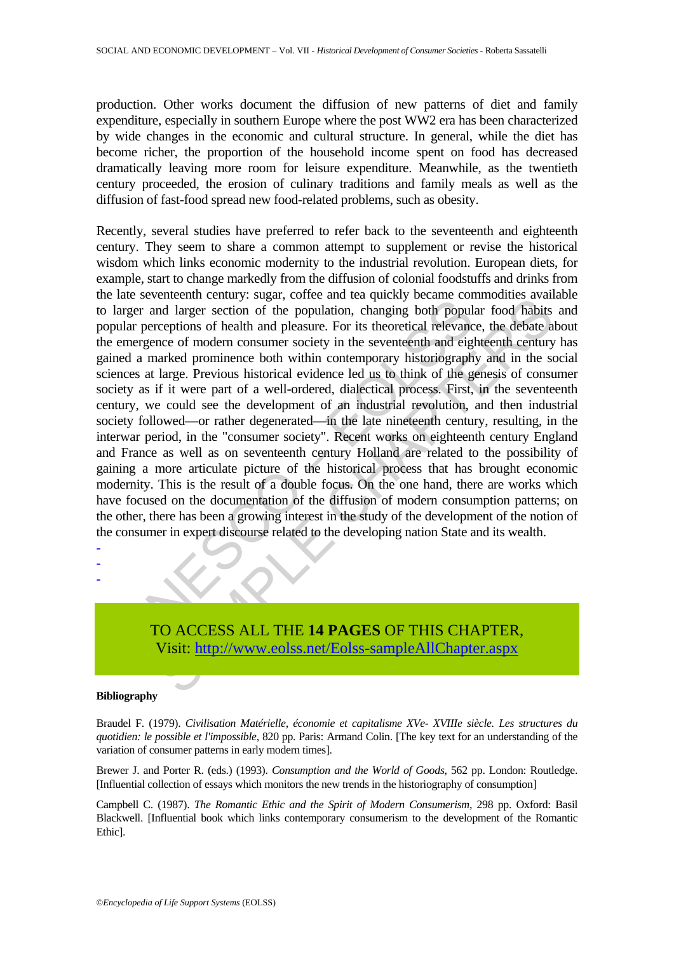production. Other works document the diffusion of new patterns of diet and family expenditure, especially in southern Europe where the post WW2 era has been characterized by wide changes in the economic and cultural structure. In general, while the diet has become richer, the proportion of the household income spent on food has decreased dramatically leaving more room for leisure expenditure. Meanwhile, as the twentieth century proceeded, the erosion of culinary traditions and family meals as well as the diffusion of fast-food spread new food-related problems, such as obesity.

man severated contains, stage, concern and calculation, changing both population recarries and larger section of the population, changing both population emergence of modern consumer society in the seventeenth and eigled a entenant cleaning is sugar, conte and ta querking obth popular food habits are<br>not larger section of the population, changing both popular food habits<br>receptions of health and pleasure. For its theoretical relevance, the d Recently, several studies have preferred to refer back to the seventeenth and eighteenth century. They seem to share a common attempt to supplement or revise the historical wisdom which links economic modernity to the industrial revolution. European diets, for example, start to change markedly from the diffusion of colonial foodstuffs and drinks from the late seventeenth century: sugar, coffee and tea quickly became commodities available to larger and larger section of the population, changing both popular food habits and popular perceptions of health and pleasure. For its theoretical relevance, the debate about the emergence of modern consumer society in the seventeenth and eighteenth century has gained a marked prominence both within contemporary historiography and in the social sciences at large. Previous historical evidence led us to think of the genesis of consumer society as if it were part of a well-ordered, dialectical process. First, in the seventeenth century, we could see the development of an industrial revolution, and then industrial society followed—or rather degenerated—in the late nineteenth century, resulting, in the interwar period, in the "consumer society". Recent works on eighteenth century England and France as well as on seventeenth century Holland are related to the possibility of gaining a more articulate picture of the historical process that has brought economic modernity. This is the result of a double focus. On the one hand, there are works which have focused on the documentation of the diffusion of modern consumption patterns; on the other, there has been a growing interest in the study of the development of the notion of the consumer in expert discourse related to the developing nation State and its wealth.

- - -

# TO ACCESS ALL THE **14 PAGES** OF THIS CHAPTER, Visit: http://www.eolss.net/Eolss-sampleAllChapter.aspx

#### **Bibliography**

Braudel F. (1979). *Civilisation Matérielle, économie et capitalisme XVe- XVIIIe siècle. Les structures du quotidien: le possible et l'impossible*, 820 pp. Paris: Armand Colin. [The key text for an understanding of the variation of consumer patterns in early modern times].

Brewer J. and Porter R. (eds.) (1993). *Consumption and the World of Goods*, 562 pp. London: Routledge. [Influential collection of essays which monitors the new trends in the historiography of consumption]

Campbell C. (1987). *The Romantic Ethic and the Spirit of Modern Consumerism*, 298 pp. Oxford: Basil Blackwell. [Influential book which links contemporary consumerism to the development of the Romantic Ethic].